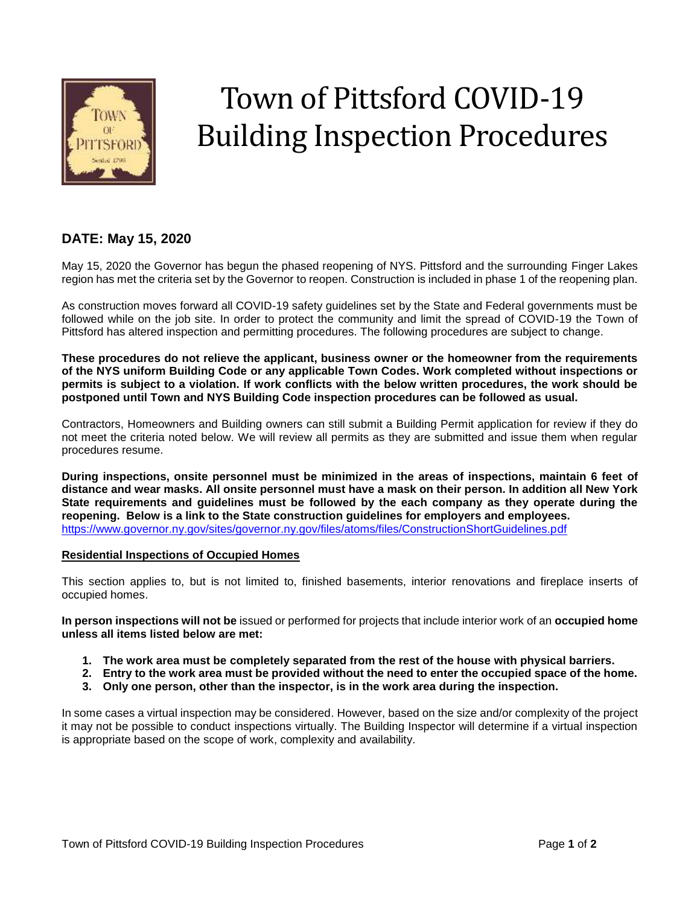

# Town of Pittsford COVID-19 Building Inspection Procedures

## **DATE: May 15, 2020**

May 15, 2020 the Governor has begun the phased reopening of NYS. Pittsford and the surrounding Finger Lakes region has met the criteria set by the Governor to reopen. Construction is included in phase 1 of the reopening plan.

As construction moves forward all COVID-19 safety guidelines set by the State and Federal governments must be followed while on the job site. In order to protect the community and limit the spread of COVID-19 the Town of Pittsford has altered inspection and permitting procedures. The following procedures are subject to change.

**These procedures do not relieve the applicant, business owner or the homeowner from the requirements of the NYS uniform Building Code or any applicable Town Codes. Work completed without inspections or permits is subject to a violation. If work conflicts with the below written procedures, the work should be postponed until Town and NYS Building Code inspection procedures can be followed as usual.**

Contractors, Homeowners and Building owners can still submit a Building Permit application for review if they do not meet the criteria noted below. We will review all permits as they are submitted and issue them when regular procedures resume.

**During inspections, onsite personnel must be minimized in the areas of inspections, maintain 6 feet of distance and wear masks. All onsite personnel must have a mask on their person. In addition all New York State requirements and guidelines must be followed by the each company as they operate during the reopening. Below is a link to the State construction guidelines for employers and employees.** <https://www.governor.ny.gov/sites/governor.ny.gov/files/atoms/files/ConstructionShortGuidelines.pdf>

#### **Residential Inspections of Occupied Homes**

This section applies to, but is not limited to, finished basements, interior renovations and fireplace inserts of occupied homes.

**In person inspections will not be** issued or performed for projects that include interior work of an **occupied home unless all items listed below are met:**

- **1. The work area must be completely separated from the rest of the house with physical barriers.**
- **2. Entry to the work area must be provided without the need to enter the occupied space of the home.**
- **3. Only one person, other than the inspector, is in the work area during the inspection.**

In some cases a virtual inspection may be considered. However, based on the size and/or complexity of the project it may not be possible to conduct inspections virtually. The Building Inspector will determine if a virtual inspection is appropriate based on the scope of work, complexity and availability.